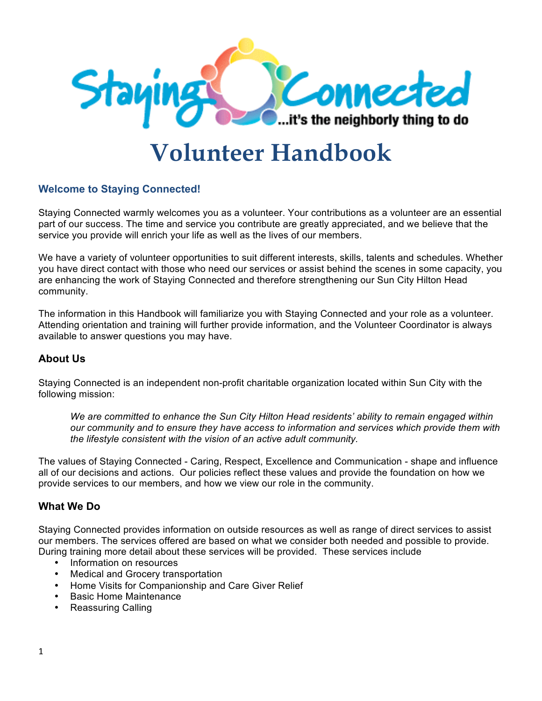

# **Volunteer Handbook**

# **Welcome to Staying Connected!**

Staying Connected warmly welcomes you as a volunteer. Your contributions as a volunteer are an essential part of our success. The time and service you contribute are greatly appreciated, and we believe that the service you provide will enrich your life as well as the lives of our members.

We have a variety of volunteer opportunities to suit different interests, skills, talents and schedules. Whether you have direct contact with those who need our services or assist behind the scenes in some capacity, you are enhancing the work of Staying Connected and therefore strengthening our Sun City Hilton Head community.

The information in this Handbook will familiarize you with Staying Connected and your role as a volunteer. Attending orientation and training will further provide information, and the Volunteer Coordinator is always available to answer questions you may have.

## **About Us**

Staying Connected is an independent non-profit charitable organization located within Sun City with the following mission:

*We are committed to enhance the Sun City Hilton Head residents' ability to remain engaged within our community and to ensure they have access to information and services which provide them with the lifestyle consistent with the vision of an active adult community.* 

The values of Staying Connected - Caring, Respect, Excellence and Communication - shape and influence all of our decisions and actions. Our policies reflect these values and provide the foundation on how we provide services to our members, and how we view our role in the community.

## **What We Do**

Staying Connected provides information on outside resources as well as range of direct services to assist our members. The services offered are based on what we consider both needed and possible to provide. During training more detail about these services will be provided. These services include

- Information on resources
- Medical and Grocery transportation
- Home Visits for Companionship and Care Giver Relief
- Basic Home Maintenance
- Reassuring Calling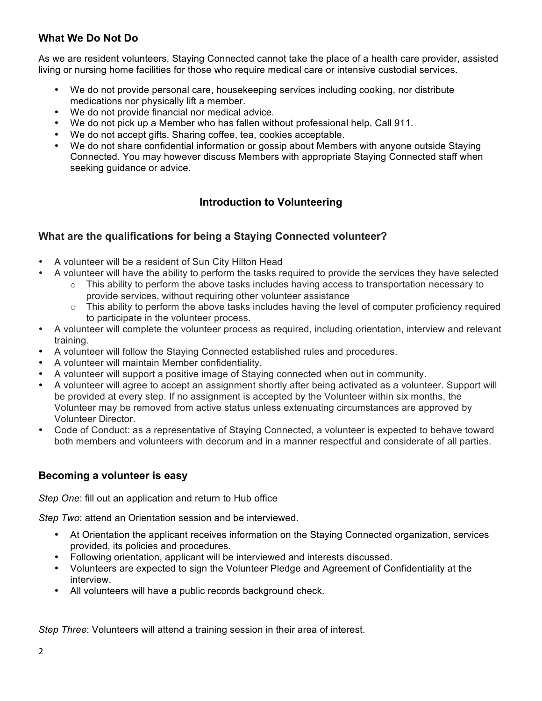# **What We Do Not Do**

As we are resident volunteers, Staying Connected cannot take the place of a health care provider, assisted living or nursing home facilities for those who require medical care or intensive custodial services.

- We do not provide personal care, housekeeping services including cooking, nor distribute medications nor physically lift a member.
- We do not provide financial nor medical advice.
- We do not pick up a Member who has fallen without professional help. Call 911.
- We do not accept gifts. Sharing coffee, tea, cookies acceptable.
- We do not share confidential information or gossip about Members with anyone outside Staying Connected. You may however discuss Members with appropriate Staying Connected staff when seeking guidance or advice.

# **Introduction to Volunteering**

# **What are the qualifications for being a Staying Connected volunteer?**

- A volunteer will be a resident of Sun City Hilton Head
	- A volunteer will have the ability to perform the tasks required to provide the services they have selected
		- $\circ$  This ability to perform the above tasks includes having access to transportation necessary to provide services, without requiring other volunteer assistance
		- $\circ$  This ability to perform the above tasks includes having the level of computer proficiency required to participate in the volunteer process.
- A volunteer will complete the volunteer process as required, including orientation, interview and relevant training.
- A volunteer will follow the Staying Connected established rules and procedures.
- A volunteer will maintain Member confidentiality.
- A volunteer will support a positive image of Staying connected when out in community.
- A volunteer will agree to accept an assignment shortly after being activated as a volunteer. Support will be provided at every step. If no assignment is accepted by the Volunteer within six months, the Volunteer may be removed from active status unless extenuating circumstances are approved by Volunteer Director.
- Code of Conduct: as a representative of Staying Connected, a volunteer is expected to behave toward both members and volunteers with decorum and in a manner respectful and considerate of all parties.

## **Becoming a volunteer is easy**

*Step One*: fill out an application and return to Hub office

*Step Two*: attend an Orientation session and be interviewed.

- At Orientation the applicant receives information on the Staying Connected organization, services provided, its policies and procedures.
- Following orientation, applicant will be interviewed and interests discussed.
- Volunteers are expected to sign the Volunteer Pledge and Agreement of Confidentiality at the interview.
- All volunteers will have a public records background check.

*Step Three*: Volunteers will attend a training session in their area of interest.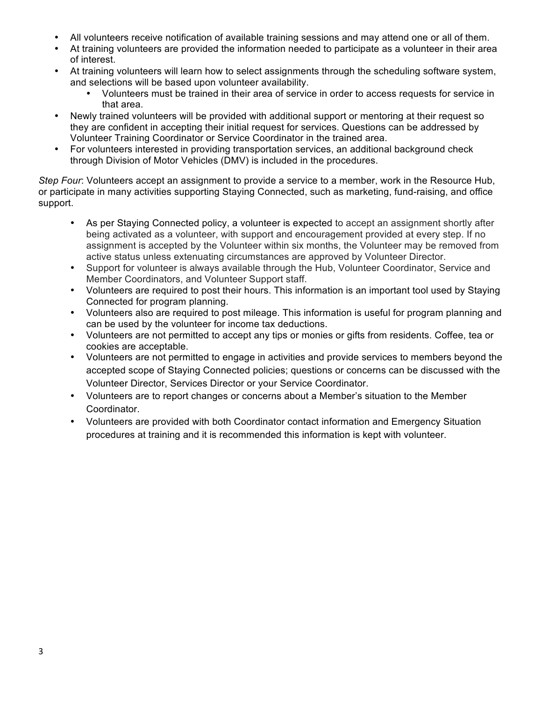- All volunteers receive notification of available training sessions and may attend one or all of them.
- At training volunteers are provided the information needed to participate as a volunteer in their area of interest.
- At training volunteers will learn how to select assignments through the scheduling software system, and selections will be based upon volunteer availability.
	- Volunteers must be trained in their area of service in order to access requests for service in that area.
- Newly trained volunteers will be provided with additional support or mentoring at their request so they are confident in accepting their initial request for services. Questions can be addressed by Volunteer Training Coordinator or Service Coordinator in the trained area.
- For volunteers interested in providing transportation services, an additional background check through Division of Motor Vehicles (DMV) is included in the procedures.

*Step Four*: Volunteers accept an assignment to provide a service to a member, work in the Resource Hub, or participate in many activities supporting Staying Connected, such as marketing, fund-raising, and office support.

- As per Staying Connected policy, a volunteer is expected to accept an assignment shortly after being activated as a volunteer, with support and encouragement provided at every step. If no assignment is accepted by the Volunteer within six months, the Volunteer may be removed from active status unless extenuating circumstances are approved by Volunteer Director.
- Support for volunteer is always available through the Hub, Volunteer Coordinator, Service and Member Coordinators, and Volunteer Support staff.
- Volunteers are required to post their hours. This information is an important tool used by Staying Connected for program planning.
- Volunteers also are required to post mileage. This information is useful for program planning and can be used by the volunteer for income tax deductions.
- Volunteers are not permitted to accept any tips or monies or gifts from residents. Coffee, tea or cookies are acceptable.
- Volunteers are not permitted to engage in activities and provide services to members beyond the accepted scope of Staying Connected policies; questions or concerns can be discussed with the Volunteer Director, Services Director or your Service Coordinator.
- Volunteers are to report changes or concerns about a Member's situation to the Member Coordinator.
- Volunteers are provided with both Coordinator contact information and Emergency Situation procedures at training and it is recommended this information is kept with volunteer.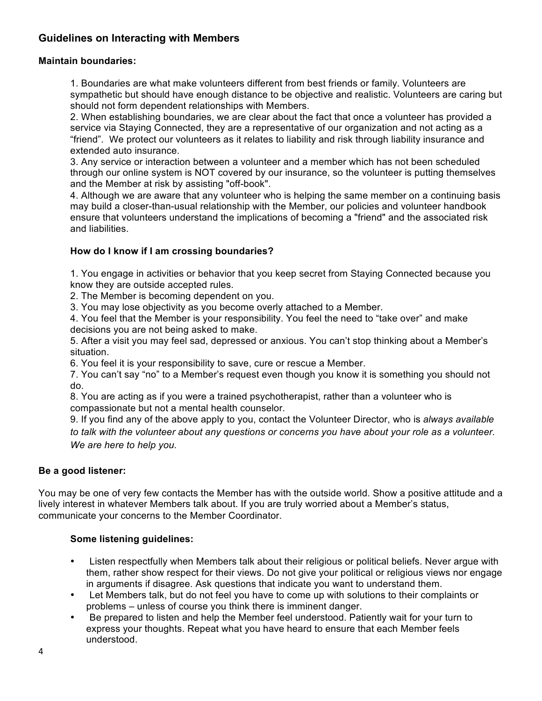# **Guidelines on Interacting with Members**

#### **Maintain boundaries:**

1. Boundaries are what make volunteers different from best friends or family. Volunteers are sympathetic but should have enough distance to be objective and realistic. Volunteers are caring but should not form dependent relationships with Members.

2. When establishing boundaries, we are clear about the fact that once a volunteer has provided a service via Staying Connected, they are a representative of our organization and not acting as a "friend". We protect our volunteers as it relates to liability and risk through liability insurance and extended auto insurance.

3. Any service or interaction between a volunteer and a member which has not been scheduled through our online system is NOT covered by our insurance, so the volunteer is putting themselves and the Member at risk by assisting "off-book".

4. Although we are aware that any volunteer who is helping the same member on a continuing basis may build a closer-than-usual relationship with the Member, our policies and volunteer handbook ensure that volunteers understand the implications of becoming a "friend" and the associated risk and liabilities.

#### **How do I know if I am crossing boundaries?**

1. You engage in activities or behavior that you keep secret from Staying Connected because you know they are outside accepted rules.

2. The Member is becoming dependent on you.

3. You may lose objectivity as you become overly attached to a Member.

4. You feel that the Member is your responsibility. You feel the need to "take over" and make decisions you are not being asked to make.

5. After a visit you may feel sad, depressed or anxious. You can't stop thinking about a Member's situation.

6. You feel it is your responsibility to save, cure or rescue a Member.

7. You can't say "no" to a Member's request even though you know it is something you should not do.

8. You are acting as if you were a trained psychotherapist, rather than a volunteer who is compassionate but not a mental health counselor.

9. If you find any of the above apply to you, contact the Volunteer Director, who is *always available to talk with the volunteer about any questions or concerns you have about your role as a volunteer. We are here to help you.* 

#### **Be a good listener:**

You may be one of very few contacts the Member has with the outside world. Show a positive attitude and a lively interest in whatever Members talk about. If you are truly worried about a Member's status, communicate your concerns to the Member Coordinator.

#### **Some listening guidelines:**

- Listen respectfully when Members talk about their religious or political beliefs. Never argue with them, rather show respect for their views. Do not give your political or religious views nor engage in arguments if disagree. Ask questions that indicate you want to understand them.
- Let Members talk, but do not feel you have to come up with solutions to their complaints or problems – unless of course you think there is imminent danger.
- Be prepared to listen and help the Member feel understood. Patiently wait for your turn to express your thoughts. Repeat what you have heard to ensure that each Member feels understood.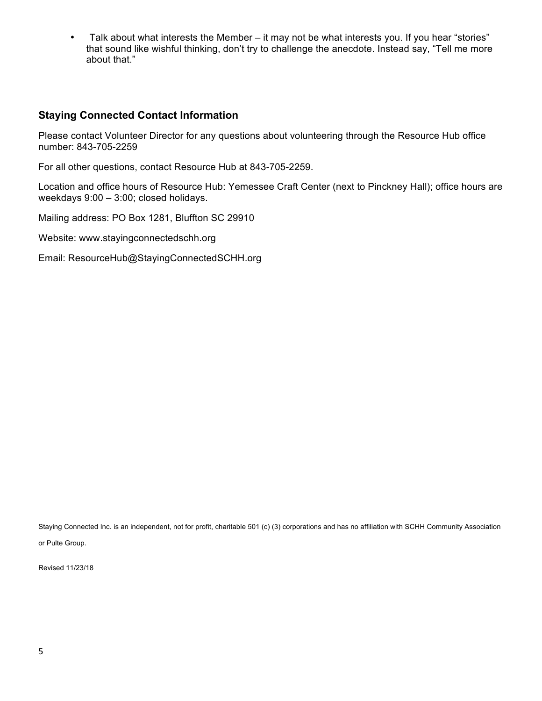• Talk about what interests the Member – it may not be what interests you. If you hear "stories" that sound like wishful thinking, don't try to challenge the anecdote. Instead say, "Tell me more about that."

## **Staying Connected Contact Information**

Please contact Volunteer Director for any questions about volunteering through the Resource Hub office number: 843-705-2259

For all other questions, contact Resource Hub at 843-705-2259.

Location and office hours of Resource Hub: Yemessee Craft Center (next to Pinckney Hall); office hours are weekdays 9:00 – 3:00; closed holidays.

Mailing address: PO Box 1281, Bluffton SC 29910

Website: www.stayingconnectedschh.org

Email: ResourceHub@StayingConnectedSCHH.org

Staying Connected Inc. is an independent, not for profit, charitable 501 (c) (3) corporations and has no affiliation with SCHH Community Association or Pulte Group.

Revised 11/23/18